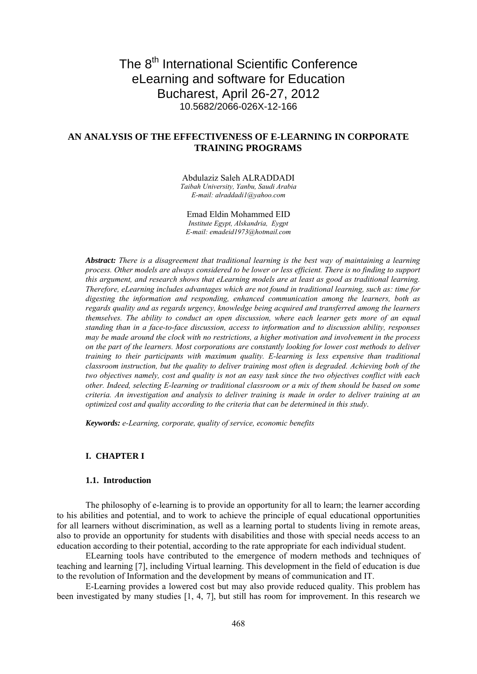# The 8<sup>th</sup> International Scientific Conference eLearning and software for Education Bucharest, April 26-27, 2012 10.5682/2066-026X-12-166

## **AN ANALYSIS OF THE EFFECTIVENESS OF E-LEARNING IN CORPORATE TRAINING PROGRAMS**

Abdulaziz Saleh ALRADDADI

*Taibah University, Yanbu, Saudi Arabia E-mail: alraddadi1@yahoo.com*

Emad Eldin Mohammed EID *Institute Egypt, Alskandria, Eygpt E-mail: emadeid1973@hotmail.com*

*Abstract: There is a disagreement that traditional learning is the best way of maintaining a learning process. Other models are always considered to be lower or less efficient. There is no finding to support this argument, and research shows that eLearning models are at least as good as traditional learning. Therefore, eLearning includes advantages which are not found in traditional learning, such as: time for digesting the information and responding, enhanced communication among the learners, both as regards quality and as regards urgency, knowledge being acquired and transferred among the learners themselves. The ability to conduct an open discussion, where each learner gets more of an equal standing than in a face-to-face discussion, access to information and to discussion ability, responses may be made around the clock with no restrictions, a higher motivation and involvement in the process on the part of the learners. Most corporations are constantly looking for lower cost methods to deliver training to their participants with maximum quality. E-learning is less expensive than traditional classroom instruction, but the quality to deliver training most often is degraded. Achieving both of the two objectives namely, cost and quality is not an easy task since the two objectives conflict with each other. Indeed, selecting E-learning or traditional classroom or a mix of them should be based on some criteria. An investigation and analysis to deliver training is made in order to deliver training at an optimized cost and quality according to the criteria that can be determined in this study*.

*Keywords: e-Learning, corporate, quality of service, economic benefits*

## **I. CHAPTER I**

## **1.1. Introduction**

The philosophy of e-learning is to provide an opportunity for all to learn; the learner according to his abilities and potential, and to work to achieve the principle of equal educational opportunities for all learners without discrimination, as well as a learning portal to students living in remote areas, also to provide an opportunity for students with disabilities and those with special needs access to an education according to their potential, according to the rate appropriate for each individual student.

ELearning tools have contributed to the emergence of modern methods and techniques of teaching and learning [7], including Virtual learning. This development in the field of education is due to the revolution of Information and the development by means of communication and IT.

E-Learning provides a lowered cost but may also provide reduced quality. This problem has been investigated by many studies [1, 4, 7], but still has room for improvement. In this research we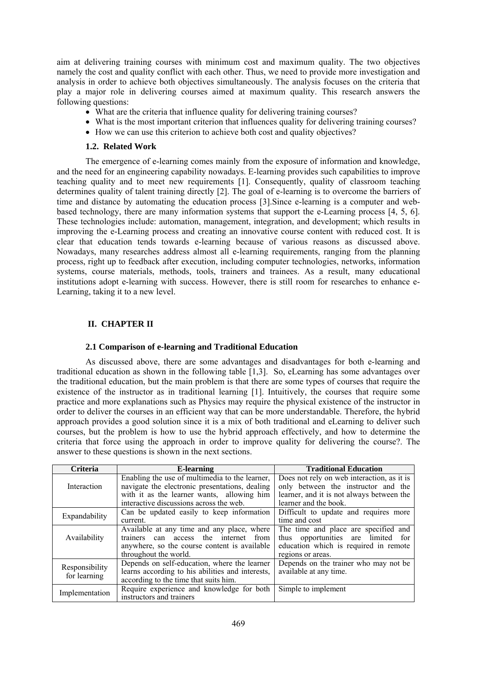aim at delivering training courses with minimum cost and maximum quality. The two objectives namely the cost and quality conflict with each other. Thus, we need to provide more investigation and analysis in order to achieve both objectives simultaneously. The analysis focuses on the criteria that play a major role in delivering courses aimed at maximum quality. This research answers the following questions:

- What are the criteria that influence quality for delivering training courses?
- What is the most important criterion that influences quality for delivering training courses?
- How we can use this criterion to achieve both cost and quality objectives?

## **1.2. Related Work**

The emergence of e-learning comes mainly from the exposure of information and knowledge, and the need for an engineering capability nowadays. E-learning provides such capabilities to improve teaching quality and to meet new requirements [1]. Consequently, quality of classroom teaching determines quality of talent training directly [2]. The goal of e-learning is to overcome the barriers of time and distance by automating the education process [3].Since e-learning is a computer and webbased technology, there are many information systems that support the e-Learning process [4, 5, 6]. These technologies include: automation, management, integration, and development; which results in improving the e-Learning process and creating an innovative course content with reduced cost. It is clear that education tends towards e-learning because of various reasons as discussed above. Nowadays, many researches address almost all e-learning requirements, ranging from the planning process, right up to feedback after execution, including computer technologies, networks, information systems, course materials, methods, tools, trainers and trainees. As a result, many educational institutions adopt e-learning with success. However, there is still room for researches to enhance e-Learning, taking it to a new level.

## **II. CHAPTER II**

## **2.1 Comparison of e-learning and Traditional Education**

As discussed above, there are some advantages and disadvantages for both e-learning and traditional education as shown in the following table [1,3]. So, eLearning has some advantages over the traditional education, but the main problem is that there are some types of courses that require the existence of the instructor as in traditional learning [1]. Intuitively, the courses that require some practice and more explanations such as Physics may require the physical existence of the instructor in order to deliver the courses in an efficient way that can be more understandable. Therefore, the hybrid approach provides a good solution since it is a mix of both traditional and eLearning to deliver such courses, but the problem is how to use the hybrid approach effectively, and how to determine the criteria that force using the approach in order to improve quality for delivering the course?. The answer to these questions is shown in the next sections.

| <b>Criteria</b>                | E-learning                                       | <b>Traditional Education</b>               |
|--------------------------------|--------------------------------------------------|--------------------------------------------|
|                                | Enabling the use of multimedia to the learner,   | Does not rely on web interaction, as it is |
| Interaction                    | navigate the electronic presentations, dealing   | only between the instructor and the        |
|                                | with it as the learner wants, allowing him       | learner, and it is not always between the  |
|                                | interactive discussions across the web.          | learner and the book.                      |
| Expandability                  | Can be updated easily to keep information        | Difficult to update and requires more      |
|                                | current.                                         | time and cost                              |
|                                | Available at any time and any place, where       | The time and place are specified and       |
| Availability                   | trainers can access the internet<br>from         | thus opportunities are limited for         |
|                                | anywhere, so the course content is available     | education which is required in remote      |
|                                | throughout the world.                            | regions or areas.                          |
| Responsibility<br>for learning | Depends on self-education, where the learner     | Depends on the trainer who may not be      |
|                                | learns according to his abilities and interests, | available at any time.                     |
|                                | according to the time that suits him.            |                                            |
| Implementation                 | Require experience and knowledge for both        | Simple to implement                        |
|                                | instructors and trainers                         |                                            |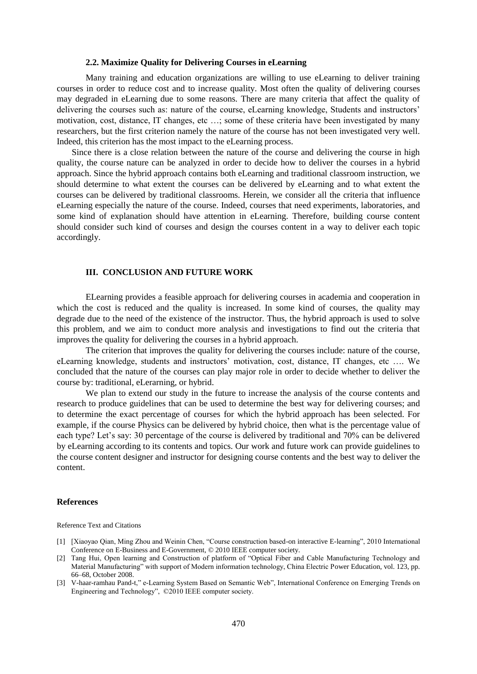### **2.2. Maximize Quality for Delivering Courses in eLearning**

Many training and education organizations are willing to use eLearning to deliver training courses in order to reduce cost and to increase quality. Most often the quality of delivering courses may degraded in eLearning due to some reasons. There are many criteria that affect the quality of delivering the courses such as: nature of the course, eLearning knowledge, Students and instructors' motivation, cost, distance, IT changes, etc …; some of these criteria have been investigated by many researchers, but the first criterion namely the nature of the course has not been investigated very well. Indeed, this criterion has the most impact to the eLearning process.

Since there is a close relation between the nature of the course and delivering the course in high quality, the course nature can be analyzed in order to decide how to deliver the courses in a hybrid approach. Since the hybrid approach contains both eLearning and traditional classroom instruction, we should determine to what extent the courses can be delivered by eLearning and to what extent the courses can be delivered by traditional classrooms. Herein, we consider all the criteria that influence eLearning especially the nature of the course. Indeed, courses that need experiments, laboratories, and some kind of explanation should have attention in eLearning. Therefore, building course content should consider such kind of courses and design the courses content in a way to deliver each topic accordingly.

#### **III. CONCLUSION AND FUTURE WORK**

ELearning provides a feasible approach for delivering courses in academia and cooperation in which the cost is reduced and the quality is increased. In some kind of courses, the quality may degrade due to the need of the existence of the instructor. Thus, the hybrid approach is used to solve this problem, and we aim to conduct more analysis and investigations to find out the criteria that improves the quality for delivering the courses in a hybrid approach.

The criterion that improves the quality for delivering the courses include: nature of the course, eLearning knowledge, students and instructors' motivation, cost, distance, IT changes, etc …. We concluded that the nature of the courses can play major role in order to decide whether to deliver the course by: traditional, eLerarning, or hybrid.

We plan to extend our study in the future to increase the analysis of the course contents and research to produce guidelines that can be used to determine the best way for delivering courses; and to determine the exact percentage of courses for which the hybrid approach has been selected. For example, if the course Physics can be delivered by hybrid choice, then what is the percentage value of each type? Let's say: 30 percentage of the course is delivered by traditional and 70% can be delivered by eLearning according to its contents and topics. Our work and future work can provide guidelines to the course content designer and instructor for designing course contents and the best way to deliver the content.

#### **References**

Reference Text and Citations

- [1] [Xiaoyao Qian, Ming Zhou and Weinin Chen, "Course construction based-on interactive E-learning", 2010 International Conference on E-Business and E-Government, © 2010 IEEE computer society.
- [2] Tang Hui, Open learning and Construction of platform of "Optical Fiber and Cable Manufacturing Technology and Material Manufacturing" with support of Modern information technology, China Electric Power Education, vol. 123, pp. 66–68, October 2008.
- [3] V-haar-ramhau Pand-t," e-Learning System Based on Semantic Web", International Conference on Emerging Trends on Engineering and Technology", ©2010 IEEE computer society.